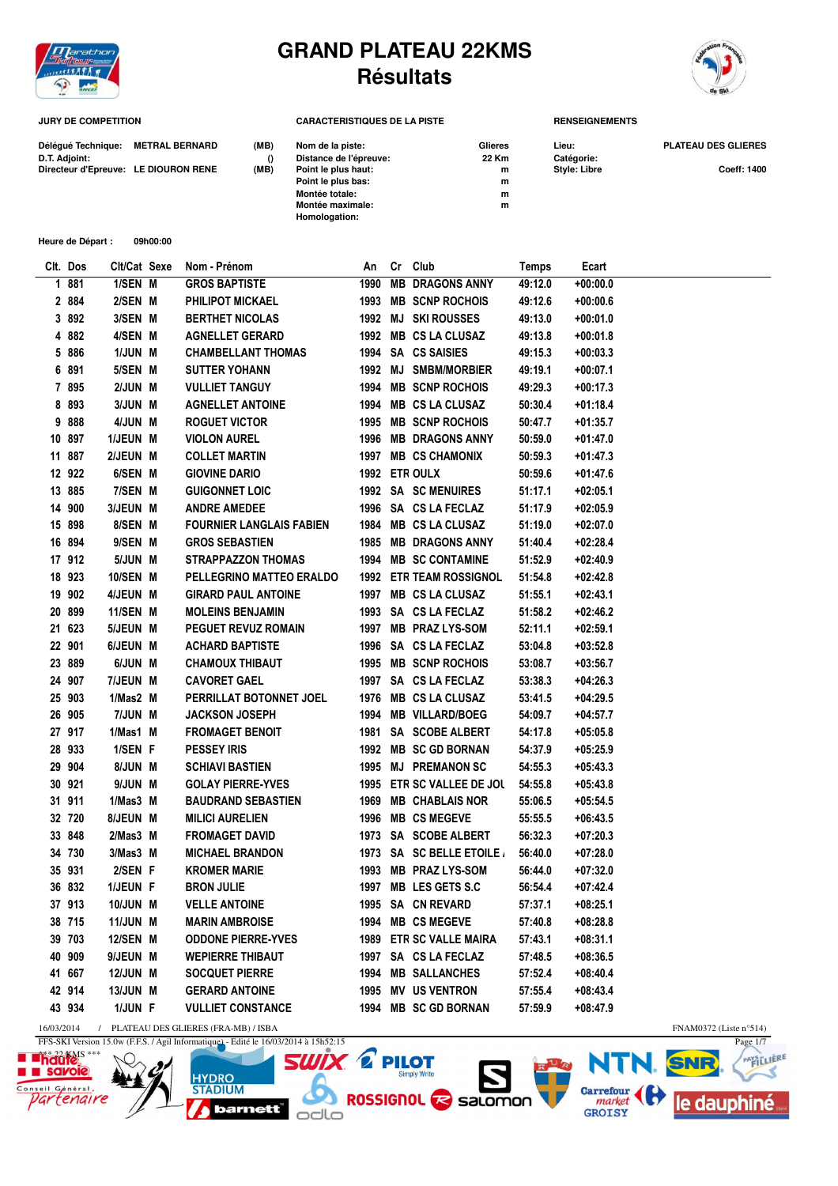

## **GRAND PLATEAU 22KMS Résultats**



**JURY DE COMPETITION CARACTERISTIQUES DE LA PISTE RENSEIGNEMENTS**

| Déléqué Technique: METRAL BERNARD    | (MB) | Nom de la piste:       | Glieres | Lieu:               | <b>PLATEAU DES GLIERES</b> |
|--------------------------------------|------|------------------------|---------|---------------------|----------------------------|
| D.T. Adjoint:                        |      | Distance de l'épreuve: | 22 Km   | Catégorie:          |                            |
| Directeur d'Epreuve: LE DIOURON RENE | (MB) | Point le plus haut:    | m       | <b>Style: Libre</b> | <b>Coeff: 1400</b>         |
|                                      |      | Point le plus bas:     | m       |                     |                            |
|                                      |      | Montée totale:         | m       |                     |                            |
|                                      |      | Montée maximale:       | m       |                     |                            |
|                                      |      | Homologation:          |         |                     |                            |

**Heure de Départ : 09h00:00**

| Clt. Dos | Clt/Cat Sexe    | Nom - Prénom                    | An   | Cr Club                        | Temps   | Ecart      |
|----------|-----------------|---------------------------------|------|--------------------------------|---------|------------|
| 1 881    | 1/SEN M         | <b>GROS BAPTISTE</b>            | 1990 | <b>MB DRAGONS ANNY</b>         | 49:12.0 | $+00:00.0$ |
| 2 884    | 2/SEN M         | <b>PHILIPOT MICKAEL</b>         |      | 1993 MB SCNP ROCHOIS           | 49:12.6 | $+00:00.6$ |
| 3 892    | 3/SEN M         | <b>BERTHET NICOLAS</b>          |      | 1992 MJ SKI ROUSSES            | 49:13.0 | $+00:01.0$ |
| 4 882    | 4/SEN M         | <b>AGNELLET GERARD</b>          |      | 1992 MB CS LA CLUSAZ           | 49:13.8 | $+00:01.8$ |
| 5 886    | 1/JUN M         | <b>CHAMBELLANT THOMAS</b>       |      | 1994 SA CS SAISIES             | 49:15.3 | $+00:03.3$ |
| 6 891    | 5/SEN M         | <b>SUTTER YOHANN</b>            |      | 1992 MJ SMBM/MORBIER           | 49:19.1 | $+00:07.1$ |
| 7 895    | 2/JUN M         | <b>VULLIET TANGUY</b>           | 1994 | <b>MB SCNP ROCHOIS</b>         | 49:29.3 | +00:17.3   |
| 8 8 9 3  | 3/JUN M         | <b>AGNELLET ANTOINE</b>         |      | 1994 MB CS LA CLUSAZ           | 50:30.4 | $+01:18.4$ |
| 9 888    | 4/JUN M         | <b>ROGUET VICTOR</b>            |      | 1995 MB SCNP ROCHOIS           | 50:47.7 | $+01:35.7$ |
| 10 897   | 1/JEUN M        | <b>VIOLON AUREL</b>             |      | 1996 MB DRAGONS ANNY           | 50:59.0 | $+01:47.0$ |
| 11 887   | 2/JEUN M        | <b>COLLET MARTIN</b>            | 1997 | <b>MB CS CHAMONIX</b>          | 50:59.3 | $+01:47.3$ |
| 12 922   | 6/SEN M         | <b>GIOVINE DARIO</b>            |      | 1992 ETR OULX                  | 50:59.6 | $+01:47.6$ |
| 13 885   | 7/SEN M         | <b>GUIGONNET LOIC</b>           |      | 1992 SA SC MENUIRES            | 51:17.1 | $+02:05.1$ |
| 14 900   | 3/JEUN M        | <b>ANDRE AMEDEE</b>             |      | 1996 SA CS LA FECLAZ           | 51:17.9 | $+02:05.9$ |
| 15 898   | 8/SEN M         | <b>FOURNIER LANGLAIS FABIEN</b> |      | 1984 MB CS LA CLUSAZ           | 51:19.0 | $+02:07.0$ |
| 16 894   | 9/SEN M         | <b>GROS SEBASTIEN</b>           | 1985 | <b>MB DRAGONS ANNY</b>         | 51:40.4 | $+02:28.4$ |
| 17 912   | 5/JUN M         | <b>STRAPPAZZON THOMAS</b>       |      | 1994 MB SC CONTAMINE           | 51:52.9 | $+02:40.9$ |
| 18 923   | 10/SEN M        | PELLEGRINO MATTEO ERALDO        |      | <b>1992 ETR TEAM ROSSIGNOL</b> | 51:54.8 | $+02:42.8$ |
| 19 902   | 4/JEUN M        | <b>GIRARD PAUL ANTOINE</b>      |      | 1997 MB CS LA CLUSAZ           | 51:55.1 | $+02:43.1$ |
| 20 899   | 11/SEN M        | <b>MOLEINS BENJAMIN</b>         |      | 1993 SA CS LA FECLAZ           | 51:58.2 | $+02:46.2$ |
| 21 623   | 5/JEUN M        | <b>PEGUET REVUZ ROMAIN</b>      |      | 1997 MB PRAZ LYS-SOM           | 52:11.1 | $+02:59.1$ |
| 22 901   | 6/JEUN M        | <b>ACHARD BAPTISTE</b>          |      | 1996 SA CS LA FECLAZ           | 53:04.8 | $+03:52.8$ |
| 23 889   | 6/JUN M         | <b>CHAMOUX THIBAUT</b>          |      | 1995 MB SCNP ROCHOIS           | 53:08.7 | $+03:56.7$ |
| 24 907   | 7/JEUN M        | <b>CAVORET GAEL</b>             |      | 1997 SA CS LA FECLAZ           | 53:38.3 | $+04:26.3$ |
| 25 903   | 1/Mas2 M        | PERRILLAT BOTONNET JOEL         |      | 1976 MB CS LA CLUSAZ           | 53:41.5 | $+04:29.5$ |
| 26 905   | 7/JUN M         | <b>JACKSON JOSEPH</b>           |      | 1994 MB VILLARD/BOEG           | 54:09.7 | +04:57.7   |
| 27 917   | 1/Mas1 M        | <b>FROMAGET BENOIT</b>          |      | 1981 SA SCOBE ALBERT           | 54:17.8 | $+05:05.8$ |
| 28 933   | 1/SEN F         | <b>PESSEY IRIS</b>              |      | 1992 MB SC GD BORNAN           | 54:37.9 | $+05:25.9$ |
| 29 904   | 8/JUN M         | <b>SCHIAVI BASTIEN</b>          |      | 1995 MJ PREMANON SC            | 54:55.3 | $+05:43.3$ |
| 30 921   | 9/JUN M         | <b>GOLAY PIERRE-YVES</b>        |      | 1995 ETR SC VALLEE DE JOL      | 54:55.8 | $+05:43.8$ |
| 31 911   | $1/M$ as $3$ M  | <b>BAUDRAND SEBASTIEN</b>       | 1969 | <b>MB CHABLAIS NOR</b>         | 55:06.5 | $+05:54.5$ |
| 32 720   | 8/JEUN M        | <b>MILICI AURELIEN</b>          | 1996 | <b>MB CS MEGEVE</b>            | 55:55.5 | $+06:43.5$ |
| 33 848   | $2/Mas3$ M      | <b>FROMAGET DAVID</b>           |      | 1973 SA SCOBE ALBERT           | 56:32.3 | $+07:20.3$ |
| 34 730   | 3/Mas3 M        | <b>MICHAEL BRANDON</b>          |      | 1973 SA SC BELLE ETOILE        | 56:40.0 | $+07:28.0$ |
| 35 931   | 2/SEN F         | <b>KROMER MARIE</b>             |      | 1993 MB PRAZ LYS-SOM           | 56:44.0 | +07:32.0   |
| 36 832   | 1/JEUN F        | <b>BRON JULIE</b>               |      | 1997 MB LES GETS S.C           | 56:54.4 | +07:42.4   |
| 37913    | 10/JUN M        | <b>VELLE ANTOINE</b>            |      | 1995 SA CN REVARD              | 57:37.1 | $+08:25.1$ |
| 38 715   | <b>11/JUN M</b> | <b>MARIN AMBROISE</b>           |      | 1994 MB CS MEGEVE              | 57:40.8 | $+08:28.8$ |
| 39 703   | 12/SEN M        | <b>ODDONE PIERRE-YVES</b>       |      | 1989 ETR SC VALLE MAIRA        | 57:43.1 | $+08:31.1$ |
| 40 909   | 9/JEUN M        | <b>WEPIERRE THIBAUT</b>         |      | 1997 SA CS LA FECLAZ           | 57:48.5 | $+08:36.5$ |
| 41 667   | <b>12/JUN M</b> | <b>SOCQUET PIERRE</b>           |      | 1994 MB SALLANCHES             | 57:52.4 | +08:40.4   |
| 42 914   | 13/JUN M        | <b>GERARD ANTOINE</b>           |      | 1995 MV US VENTRON             | 57:55.4 | $+08:43.4$ |
| 43 934   | 1/JUN F         | <b>VULLIET CONSTANCE</b>        |      | 1994 MB SC GD BORNAN           | 57:59.9 | $+08:47.9$ |

 $\overline{d}$ 

**HYDRO** 

**STADIUM** 

**barnett** 

odlo







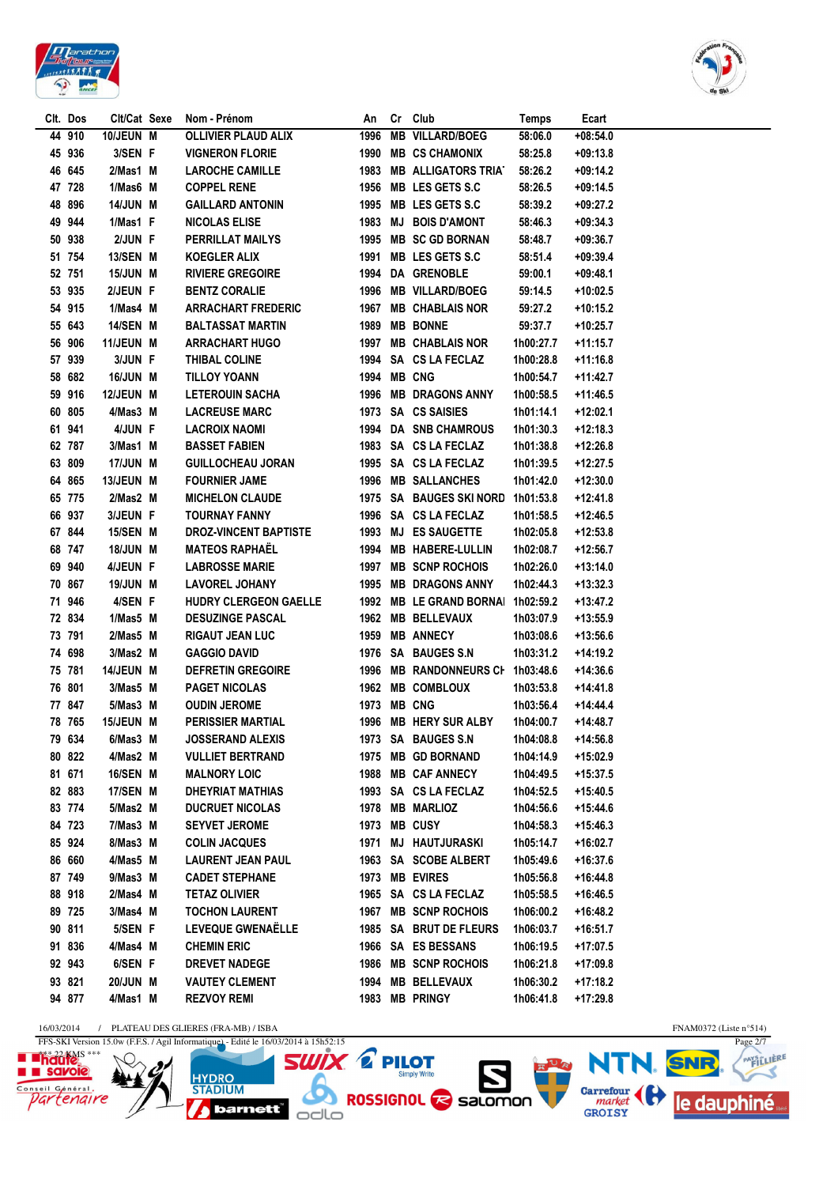



| Clt. Dos | Clt/Cat Sexe    | Nom - Prénom                 | An          | Cr Club                    | <b>Temps</b> | Ecart      |
|----------|-----------------|------------------------------|-------------|----------------------------|--------------|------------|
| 44 910   | 10/JEUN M       | <b>OLLIVIER PLAUD ALIX</b>   | 1996        | <b>MB VILLARD/BOEG</b>     | 58:06.0      | $+08:54.0$ |
| 45 936   | 3/SEN F         | <b>VIGNERON FLORIE</b>       | 1990        | <b>MB CS CHAMONIX</b>      | 58:25.8      | $+09:13.8$ |
| 46 645   | 2/Mas1 M        | <b>LAROCHE CAMILLE</b>       | 1983        | <b>MB ALLIGATORS TRIAT</b> | 58:26.2      | $+09:14.2$ |
| 47 728   | 1/Mas6 M        | <b>COPPEL RENE</b>           | 1956        | MB LES GETS S.C            | 58:26.5      | $+09:14.5$ |
| 48 896   | <b>14/JUN M</b> | <b>GAILLARD ANTONIN</b>      | 1995        | MB LES GETS S.C            | 58:39.2      | $+09:27.2$ |
| 49 944   | 1/Mas1 F        | <b>NICOLAS ELISE</b>         | 1983        | <b>MJ BOIS D'AMONT</b>     | 58:46.3      | $+09:34.3$ |
| 50 938   | 2/JUN F         | PERRILLAT MAILYS             | 1995        | <b>MB SC GD BORNAN</b>     | 58:48.7      | $+09:36.7$ |
| 51 754   | 13/SEN M        | <b>KOEGLER ALIX</b>          | 1991        | MB LES GETS S.C            | 58:51.4      | $+09:39.4$ |
| 52 751   | 15/JUN M        | <b>RIVIERE GREGOIRE</b>      |             | 1994 DA GRENOBLE           | 59:00.1      | +09:48.1   |
| 53 935   | 2/JEUN F        | <b>BENTZ CORALIE</b>         | 1996        | <b>MB VILLARD/BOEG</b>     | 59:14.5      | $+10:02.5$ |
| 54 915   | 1/Mas4 M        | <b>ARRACHART FREDERIC</b>    | 1967        | <b>MB CHABLAIS NOR</b>     | 59:27.2      | +10:15.2   |
| 55 643   | 14/SEN M        | <b>BALTASSAT MARTIN</b>      | 1989        | <b>MB BONNE</b>            | 59:37.7      | +10:25.7   |
| 56 906   | 11/JEUN M       | <b>ARRACHART HUGO</b>        |             | 1997 MB CHABLAIS NOR       | 1h00:27.7    | +11:15.7   |
| 57 939   | 3/JUN F         | THIBAL COLINE                |             | 1994 SA CS LA FECLAZ       | 1h00:28.8    | $+11:16.8$ |
| 58 682   | 16/JUN M        | <b>TILLOY YOANN</b>          | 1994 MB CNG |                            | 1h00:54.7    | +11:42.7   |
| 59 916   | 12/JEUN M       | <b>LETEROUIN SACHA</b>       |             | 1996 MB DRAGONS ANNY       | 1h00:58.5    | $+11:46.5$ |
| 60 805   | 4/Mas3 M        | <b>LACREUSE MARC</b>         |             | 1973 SA CS SAISIES         | 1h01:14.1    | +12:02.1   |
| 61 941   | 4/JUN F         | <b>LACROIX NAOMI</b>         |             | 1994 DA SNB CHAMROUS       | 1h01:30.3    | $+12:18.3$ |
| 62 787   | 3/Mas1 M        | <b>BASSET FABIEN</b>         |             | 1983 SA CS LA FECLAZ       | 1h01:38.8    | +12:26.8   |
| 63 809   | 17/JUN M        | <b>GUILLOCHEAU JORAN</b>     |             | 1995 SA CS LA FECLAZ       | 1h01:39.5    | $+12:27.5$ |
| 64 865   | 13/JEUN M       | <b>FOURNIER JAME</b>         | 1996        | <b>MB SALLANCHES</b>       | 1h01:42.0    | +12:30.0   |
| 65 775   | 2/Mas2 M        | <b>MICHELON CLAUDE</b>       |             | 1975 SA BAUGES SKI NORD    | 1h01:53.8    | $+12:41.8$ |
| 66 937   | 3/JEUN F        | <b>TOURNAY FANNY</b>         |             | 1996 SA CS LA FECLAZ       | 1h01:58.5    | +12:46.5   |
| 67844    | 15/SEN M        | <b>DROZ-VINCENT BAPTISTE</b> |             | 1993 MJ ES SAUGETTE        | 1h02:05.8    | +12:53.8   |
| 68 747   | 18/JUN M        | <b>MATEOS RAPHAËL</b>        | 1994        | <b>MB HABERE-LULLIN</b>    | 1h02:08.7    | +12:56.7   |
| 69 940   | 4/JEUN F        | <b>LABROSSE MARIE</b>        | 1997        | <b>MB SCNP ROCHOIS</b>     | 1h02:26.0    | $+13:14.0$ |
| 70 867   | 19/JUN M        | <b>LAVOREL JOHANY</b>        | 1995        | <b>MB DRAGONS ANNY</b>     | 1h02:44.3    | $+13:32.3$ |
| 71 946   | 4/SEN F         | HUDRY CLERGEON GAELLE        |             | 1992 MB LE GRAND BORNAI    | 1h02:59.2    | +13:47.2   |
| 72 834   | 1/Mas5 M        | <b>DESUZINGE PASCAL</b>      |             | 1962 MB BELLEVAUX          | 1h03:07.9    | +13:55.9   |
| 73 791   | 2/Mas5 M        | <b>RIGAUT JEAN LUC</b>       | 1959        | <b>MB ANNECY</b>           | 1h03:08.6    | +13:56.6   |
| 74 698   | 3/Mas2 M        | <b>GAGGIO DAVID</b>          |             | 1976 SA BAUGES S.N.        | 1h03:31.2    | +14:19.2   |
| 75 781   | 14/JEUN M       | <b>DEFRETIN GREGOIRE</b>     |             | 1996 MB RANDONNEURS CH     | 1h03:48.6    | $+14:36.6$ |
| 76 801   | 3/Mas5 M        | <b>PAGET NICOLAS</b>         |             | 1962 MB COMBLOUX           | 1h03:53.8    | +14:41.8   |
| 77 847   | 5/Mas3 M        | <b>OUDIN JEROME</b>          | 1973 MB CNG |                            | 1h03:56.4    | $+14:44.4$ |
| 78 765   | 15/JEUN M       | <b>PERISSIER MARTIAL</b>     |             | 1996 MB HERY SUR ALBY      | 1h04:00.7    | +14:48.7   |
| 79 634   | 6/Mas3 M        | <b>JOSSERAND ALEXIS</b>      |             | 1973 SA BAUGES S.N         | 1h04:08.8    | $+14:56.8$ |
| 80 822   | 4/Mas2 M        | <b>VULLIET BERTRAND</b>      |             | 1975 MB GD BORNAND         | 1h04:14.9    | +15:02.9   |
| 81 671   | 16/SEN M        | <b>MALNORY LOIC</b>          |             | 1988 MB CAF ANNECY         | 1h04:49.5    | +15:37.5   |
| 82 883   | 17/SEN M        | <b>DHEYRIAT MATHIAS</b>      |             | 1993 SA CS LA FECLAZ       | 1h04:52.5    | +15:40.5   |
| 83 774   | 5/Mas2 M        | <b>DUCRUET NICOLAS</b>       |             | 1978 MB MARLIOZ            | 1h04:56.6    | $+15:44.6$ |
| 84 723   | 7/Mas3 M        | <b>SEYVET JEROME</b>         |             | 1973 MB CUSY               | 1h04:58.3    | $+15:46.3$ |
| 85 924   | 8/Mas3 M        | <b>COLIN JACQUES</b>         | 1971        | <b>MJ HAUTJURASKI</b>      | 1h05:14.7    | +16:02.7   |
| 86 660   | 4/Mas5 M        | <b>LAURENT JEAN PAUL</b>     |             | 1963 SA SCOBE ALBERT       | 1h05:49.6    | +16:37.6   |
| 87 749   | 9/Mas3 M        | <b>CADET STEPHANE</b>        |             | 1973 MB EVIRES             | 1h05:56.8    | $+16:44.8$ |
| 88 918   | 2/Mas4 M        | <b>TETAZ OLIVIER</b>         |             | 1965 SA CS LA FECLAZ       | 1h05:58.5    | $+16:46.5$ |
| 89 725   | 3/Mas4 M        | <b>TOCHON LAURENT</b>        |             | 1967 MB SCNP ROCHOIS       | 1h06:00.2    | +16:48.2   |
| 90 811   | 5/SEN F         | LEVEQUE GWENAËLLE            |             | 1985 SA BRUT DE FLEURS     | 1h06:03.7    | $+16:51.7$ |
| 91 836   | 4/Mas4 M        | <b>CHEMIN ERIC</b>           |             | 1966 SA ES BESSANS         | 1h06:19.5    | +17:07.5   |
| 92 943   | 6/SEN F         | <b>DREVET NADEGE</b>         | 1986        | <b>MB SCNP ROCHOIS</b>     | 1h06:21.8    | +17:09.8   |
| 93 821   | 20/JUN M        | <b>VAUTEY CLEMENT</b>        | 1994        | <b>MB BELLEVAUX</b>        | 1h06:30.2    | +17:18.2   |
| 94 877   | 4/Mas1 M        | <b>REZVOY REMI</b>           |             | 1983 MB PRINGY             | 1h06:41.8    | +17:29.8   |
|          |                 |                              |             |                            |              |            |

 $\frac{16/03/2014}{\text{FFS-SKI Version 15.0w (F.F.S. / Agil Informatique)} - \text{Edit le } 16/03/2014 \text{ à } 15\text{h}52:15 }$ 







FNAM0372 (Liste n°514)<br>Page  $2/7$ PAYSTLIERE Ӡ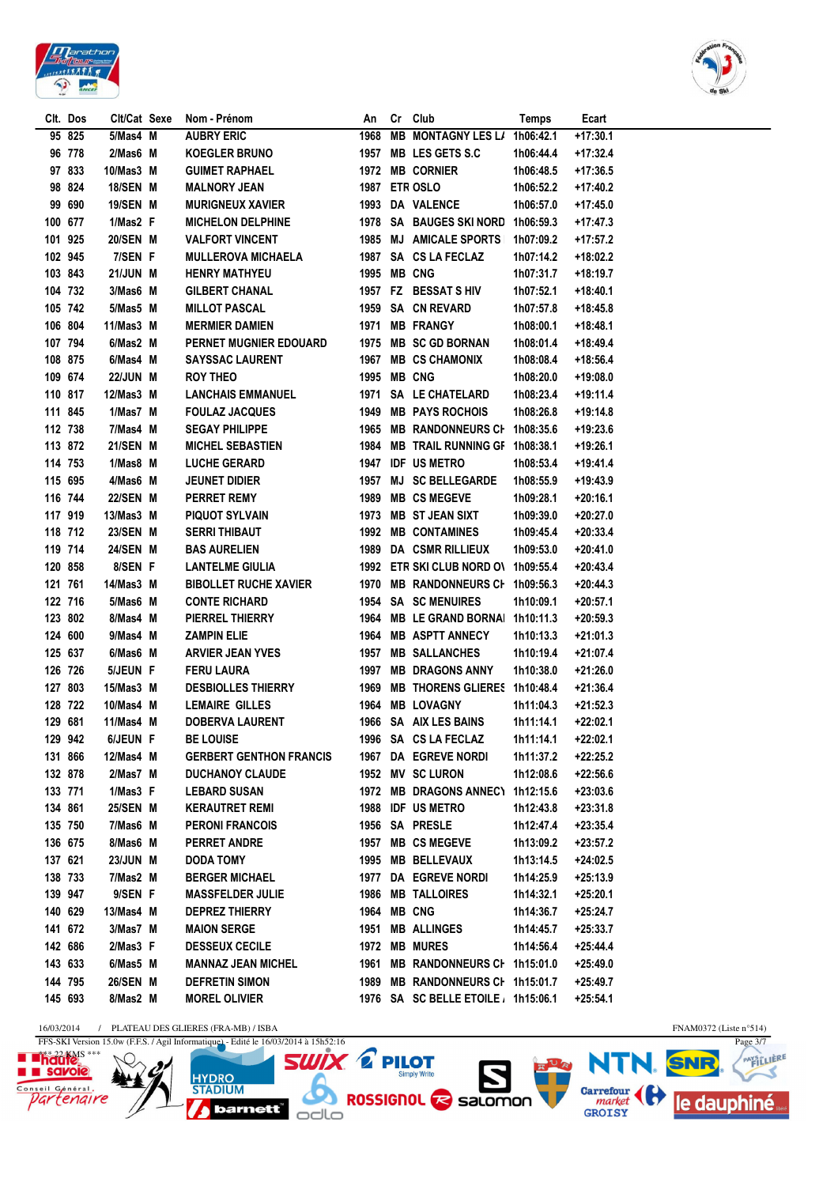



|         | Clt. Dos | Clt/Cat Sexe   | Nom - Prénom                   | An   | Cr Club                             | Temps     | Ecart      |
|---------|----------|----------------|--------------------------------|------|-------------------------------------|-----------|------------|
|         | 95 825   | 5/Mas4 M       | <b>AUBRY ERIC</b>              | 1968 | <b>MB MONTAGNY LES L/</b>           | 1h06:42.1 | $+17:30.1$ |
|         | 96 778   | $2/Mas6$ M     | <b>KOEGLER BRUNO</b>           | 1957 | <b>MB LES GETS S.C</b>              | 1h06:44.4 | +17:32.4   |
|         | 97 833   | 10/Mas3 M      | <b>GUIMET RAPHAEL</b>          | 1972 | <b>MB CORNIER</b>                   | 1h06:48.5 | +17:36.5   |
|         | 98 824   | 18/SEN M       | <b>MALNORY JEAN</b>            | 1987 | ETR OSLO                            | 1h06:52.2 | +17:40.2   |
| 99      | 690      | 19/SEN M       | <b>MURIGNEUX XAVIER</b>        | 1993 | <b>DA VALENCE</b>                   | 1h06:57.0 | +17:45.0   |
| 100 677 |          | 1/Mas2 F       | <b>MICHELON DELPHINE</b>       |      | 1978 SA BAUGES SKI NORD             | 1h06:59.3 | $+17:47.3$ |
|         | 101 925  | 20/SEN M       | <b>VALFORT VINCENT</b>         |      | 1985 MJ AMICALE SPORTS              | 1h07:09.2 | +17:57.2   |
|         | 102 945  | 7/SEN F        | <b>MULLEROVA MICHAELA</b>      |      | 1987 SA CS LA FECLAZ                | 1h07:14.2 | +18:02.2   |
| 103 843 |          | 21/JUN M       | <b>HENRY MATHYEU</b>           |      | 1995 MB CNG                         | 1h07:31.7 | +18:19.7   |
|         | 104 732  | 3/Mas6 M       | <b>GILBERT CHANAL</b>          |      | 1957 FZ BESSAT S HIV                | 1h07:52.1 | $+18:40.1$ |
|         | 105 742  | 5/Mas5 M       | <b>MILLOT PASCAL</b>           |      | 1959 SA CN REVARD                   | 1h07:57.8 | +18:45.8   |
| 106 804 |          | 11/Mas3 M      | <b>MERMIER DAMIEN</b>          | 1971 | <b>MB FRANGY</b>                    | 1h08:00.1 | $+18:48.1$ |
|         | 107 794  | 6/Mas2 M       | PERNET MUGNIER EDOUARD         | 1975 | <b>MB SC GD BORNAN</b>              | 1h08:01.4 | +18:49.4   |
|         | 108 875  | 6/Mas4 M       | <b>SAYSSAC LAURENT</b>         | 1967 | <b>MB CS CHAMONIX</b>               | 1h08:08.4 | +18:56.4   |
|         |          |                |                                |      |                                     |           |            |
|         | 109 674  | 22/JUN M       | <b>ROY THEO</b>                | 1995 | <b>MB CNG</b>                       | 1h08:20.0 | +19:08.0   |
| 110 817 |          | 12/Mas3 M      | <b>LANCHAIS EMMANUEL</b>       | 1971 | SA LE CHATELARD                     | 1h08:23.4 | $+19:11.4$ |
| 111 845 |          | 1/Mas7 M       | <b>FOULAZ JACQUES</b>          | 1949 | <b>MB PAYS ROCHOIS</b>              | 1h08:26.8 | +19:14.8   |
| 112 738 |          | 7/Mas4 M       | <b>SEGAY PHILIPPE</b>          | 1965 | <b>MB RANDONNEURS CH</b>            | 1h08:35.6 | +19:23.6   |
| 113 872 |          | 21/SEN M       | <b>MICHEL SEBASTIEN</b>        | 1984 | MB TRAIL RUNNING GF 1h08:38.1       |           | +19:26.1   |
| 114 753 |          | 1/Mas8 M       | <b>LUCHE GERARD</b>            | 1947 | <b>IDF US METRO</b>                 | 1h08:53.4 | +19:41.4   |
| 115 695 |          | 4/Mas6 M       | <b>JEUNET DIDIER</b>           | 1957 | <b>MJ SC BELLEGARDE</b>             | 1h08:55.9 | +19:43.9   |
|         | 116 744  | 22/SEN M       | PERRET REMY                    | 1989 | <b>MB CS MEGEVE</b>                 | 1h09:28.1 | +20:16.1   |
| 117 919 |          | 13/Mas3 M      | <b>PIQUOT SYLVAIN</b>          | 1973 | <b>MB ST JEAN SIXT</b>              | 1h09:39.0 | +20:27.0   |
| 118 712 |          | 23/SEN M       | <b>SERRI THIBAUT</b>           | 1992 | <b>MB CONTAMINES</b>                | 1h09:45.4 | $+20:33.4$ |
| 119 714 |          | 24/SEN M       | <b>BAS AURELIEN</b>            | 1989 | DA CSMR RILLIEUX                    | 1h09:53.0 | +20:41.0   |
| 120 858 |          | 8/SEN F        | <b>LANTELME GIULIA</b>         | 1992 | ETR SKI CLUB NORD O\ 1h09:55.4      |           | $+20:43.4$ |
| 121 761 |          | 14/Mas3 M      | <b>BIBOLLET RUCHE XAVIER</b>   | 1970 | MB RANDONNEURS CI 1h09:56.3         |           | $+20:44.3$ |
| 122 716 |          | 5/Mas6 M       | <b>CONTE RICHARD</b>           |      | 1954 SA SC MENUIRES                 | 1h10:09.1 | $+20:57.1$ |
| 123 802 |          | 8/Mas4 M       | PIERREL THIERRY                | 1964 | MB LE GRAND BORNAI 1h10:11.3        |           | $+20:59.3$ |
| 124 600 |          | 9/Mas4 M       | <b>ZAMPIN ELIE</b>             | 1964 | <b>MB ASPTT ANNECY</b>              | 1h10:13.3 | $+21:01.3$ |
| 125 637 |          | 6/Mas6 M       | <b>ARVIER JEAN YVES</b>        | 1957 | <b>MB SALLANCHES</b>                | 1h10:19.4 | $+21:07.4$ |
| 126 726 |          | 5/JEUN F       | <b>FERU LAURA</b>              | 1997 | <b>MB DRAGONS ANNY</b>              | 1h10:38.0 | $+21:26.0$ |
| 127 803 |          | 15/Mas3 M      | <b>DESBIOLLES THIERRY</b>      | 1969 | <b>MB THORENS GLIERES</b>           | 1h10:48.4 | $+21:36.4$ |
| 128 722 |          | 10/Mas4 M      | <b>LEMAIRE GILLES</b>          |      | 1964 MB LOVAGNY                     | 1h11:04.3 | $+21:52.3$ |
| 129 681 |          | 11/Mas4 M      | <b>DOBERVA LAURENT</b>         | 1966 | SA AIX LES BAINS                    | 1h11:14.1 | +22:02.1   |
| 129 942 |          | 6/JEUN F       | <b>BE LOUISE</b>               |      | 1996 SA CS LA FECLAZ                | 1h11:14.1 | +22:02.1   |
| 131 866 |          | 12/Mas4 M      | <b>GERBERT GENTHON FRANCIS</b> |      | 1967 DA EGREVE NORDI                | 1h11:37.2 | +22:25.2   |
| 132 878 |          | 2/Mas7 M       | <b>DUCHANOY CLAUDE</b>         |      | 1952 MV SC LURON                    | 1h12:08.6 | $+22:56.6$ |
| 133 771 |          | $1/M$ as $3$ F | <b>LEBARD SUSAN</b>            |      | 1972 MB DRAGONS ANNEC\ 1h12:15.6    |           | $+23:03.6$ |
| 134 861 |          | 25/SEN M       | <b>KERAUTRET REMI</b>          |      | 1988 IDF US METRO                   | 1h12:43.8 | $+23:31.8$ |
|         | 135 750  | 7/Mas6 M       | <b>PERONI FRANCOIS</b>         |      | 1956 SA PRESLE                      | 1h12:47.4 | $+23:35.4$ |
|         | 136 675  | 8/Mas6 M       | <b>PERRET ANDRE</b>            | 1957 | <b>MB CS MEGEVE</b>                 |           |            |
|         |          |                |                                |      |                                     | 1h13:09.2 | +23:57.2   |
| 137 621 |          | 23/JUN M       | <b>DODA TOMY</b>               |      | 1995 MB BELLEVAUX                   | 1h13:14.5 | +24:02.5   |
| 138 733 |          | 7/Mas2 M       | <b>BERGER MICHAEL</b>          | 1977 | DA EGREVE NORDI                     | 1h14:25.9 | $+25:13.9$ |
|         | 139 947  | 9/SEN F        | <b>MASSFELDER JULIE</b>        | 1986 | <b>MB TALLOIRES</b>                 | 1h14:32.1 | +25:20.1   |
| 140 629 |          | 13/Mas4 M      | <b>DEPREZ THIERRY</b>          |      | 1964 MB CNG                         | 1h14:36.7 | +25:24.7   |
|         | 141 672  | 3/Mas7 M       | <b>MAION SERGE</b>             | 1951 | <b>MB ALLINGES</b>                  | 1h14:45.7 | $+25:33.7$ |
| 142 686 |          | $2/Mas3$ F     | <b>DESSEUX CECILE</b>          |      | 1972 MB MURES                       | 1h14:56.4 | $+25:44.4$ |
| 143 633 |          | 6/Mas5 M       | <b>MANNAZ JEAN MICHEL</b>      | 1961 | MB RANDONNEURS CH 1h15:01.0         |           | +25:49.0   |
|         | 144 795  | 26/SEN M       | <b>DEFRETIN SIMON</b>          | 1989 | MB RANDONNEURS CI 1h15:01.7         |           | +25:49.7   |
|         | 145 693  | 8/Mas2 M       | <b>MOREL OLIVIER</b>           |      | 1976 SA SC BELLE ETOILE / 1h15:06.1 |           | $+25:54.1$ |
|         |          |                |                                |      |                                     |           |            |

 $16/03/2014$  / <code>PLATEAU</code> DES GLIERES (FRA-MB) / ISBA <br> <code>FFS-SKI</code> Version 15.0w (F.F.S. / Agil Informatique) - Edité le  $16/03/2014$  à 15h52:16







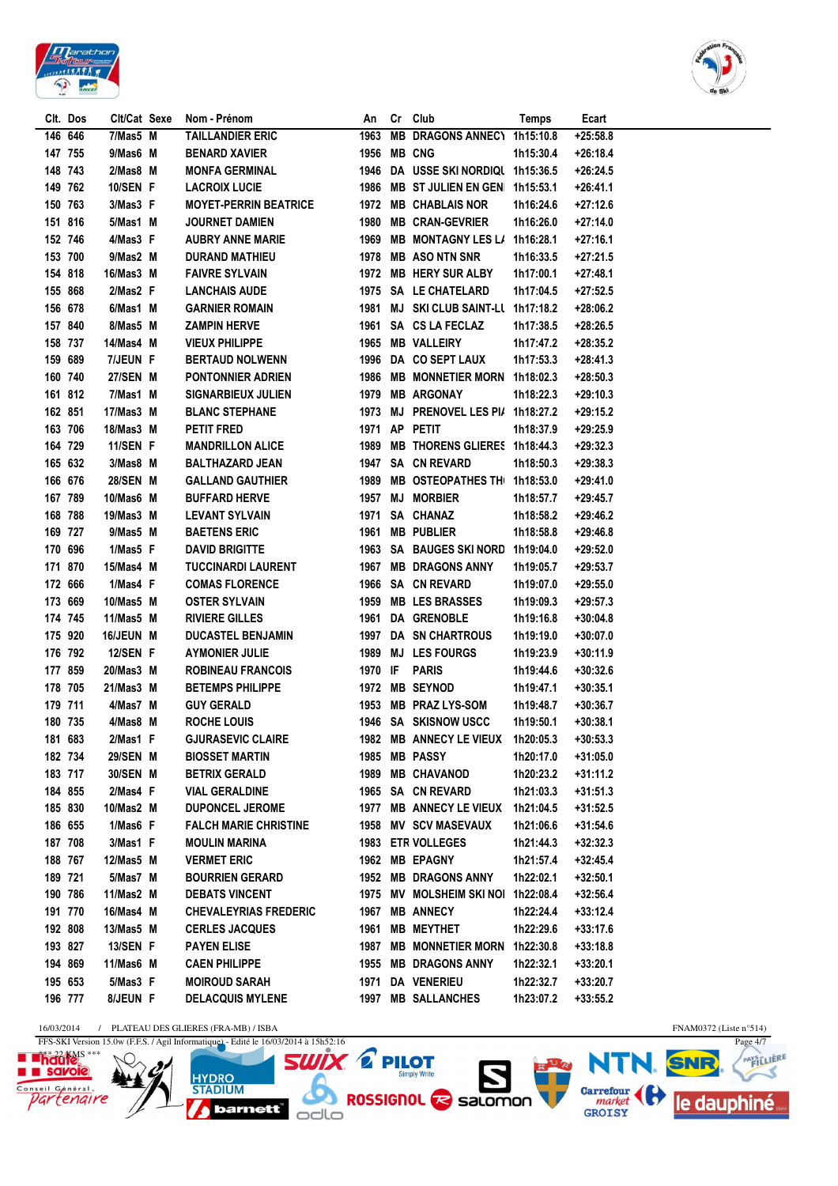



|         | Clt. Dos | Clt/Cat Sexe | Nom - Prénom                 | An          | Cr Club                            | Temps     | Ecart      |
|---------|----------|--------------|------------------------------|-------------|------------------------------------|-----------|------------|
|         | 146 646  | 7/Mas5 M     | <b>TAILLANDIER ERIC</b>      | 1963        | MB DRAGONS ANNEC1 1h15:10.8        |           | $+25:58.8$ |
| 147 755 |          | 9/Mas6 M     | <b>BENARD XAVIER</b>         | 1956 MB CNG |                                    | 1h15:30.4 | $+26:18.4$ |
| 148 743 |          | $2/Mas8$ M   | <b>MONFA GERMINAL</b>        |             | 1946 DA USSE SKI NORDIQL 1h15:36.5 |           | $+26:24.5$ |
| 149 762 |          | 10/SEN F     | <b>LACROIX LUCIE</b>         |             | 1986 MB ST JULIEN EN GEN 1h15:53.1 |           | $+26:41.1$ |
| 150 763 |          | 3/Mas3 F     | <b>MOYET-PERRIN BEATRICE</b> |             | 1972 MB CHABLAIS NOR               | 1h16:24.6 | $+27:12.6$ |
| 151 816 |          | 5/Mas1 M     | <b>JOURNET DAMIEN</b>        |             | 1980 MB CRAN-GEVRIER               | 1h16:26.0 | $+27:14.0$ |
| 152 746 |          | 4/Mas3 F     | <b>AUBRY ANNE MARIE</b>      | 1969        | <b>MB MONTAGNY LES L/</b>          | 1h16:28.1 | $+27:16.1$ |
| 153 700 |          | 9/Mas2 M     | <b>DURAND MATHIEU</b>        |             | 1978 MB ASO NTN SNR                | 1h16:33.5 | $+27:21.5$ |
| 154 818 |          | 16/Mas3 M    | <b>FAIVRE SYLVAIN</b>        |             | 1972 MB HERY SUR ALBY              | 1h17:00.1 | $+27:48.1$ |
| 155 868 |          | 2/Mas2 F     | <b>LANCHAIS AUDE</b>         |             | 1975 SA LE CHATELARD               | 1h17:04.5 | $+27:52.5$ |
| 156 678 |          | 6/Mas1 M     | <b>GARNIER ROMAIN</b>        | 1981        | <b>MJ SKI CLUB SAINT-LL</b>        | 1h17:18.2 | $+28:06.2$ |
| 157 840 |          | 8/Mas5 M     | <b>ZAMPIN HERVE</b>          | 1961        | SA CS LA FECLAZ                    | 1h17:38.5 | $+28:26.5$ |
| 158 737 |          | 14/Mas4 M    | <b>VIEUX PHILIPPE</b>        | 1965        | <b>MB VALLEIRY</b>                 | 1h17:47.2 | $+28:35.2$ |
|         | 159 689  | 7/JEUN F     | <b>BERTAUD NOLWENN</b>       | 1996        | DA CO SEPT LAUX                    | 1h17:53.3 | $+28:41.3$ |
| 160 740 |          | 27/SEN M     | <b>PONTONNIER ADRIEN</b>     | 1986        | <b>MB MONNETIER MORN</b>           | 1h18:02.3 | $+28:50.3$ |
|         | 161 812  | 7/Mas1 M     | <b>SIGNARBIEUX JULIEN</b>    | 1979        | <b>MB ARGONAY</b>                  | 1h18:22.3 | $+29:10.3$ |
| 162 851 |          | 17/Mas3 M    | <b>BLANC STEPHANE</b>        |             | 1973 MJ PRENOVEL LES PI/ 1h18:27.2 |           | $+29:15.2$ |
| 163 706 |          | 18/Mas3 M    | <b>PETIT FRED</b>            |             | 1971 AP PETIT                      | 1h18:37.9 | $+29:25.9$ |
|         | 164 729  | 11/SEN F     | <b>MANDRILLON ALICE</b>      | 1989        | MB THORENS GLIERES 1h18:44.3       |           | $+29:32.3$ |
|         | 165 632  | 3/Mas8 M     | <b>BALTHAZARD JEAN</b>       | 1947        | <b>SA CN REVARD</b>                | 1h18:50.3 | $+29:38.3$ |
| 166 676 |          | 28/SEN M     | <b>GALLAND GAUTHIER</b>      | 1989        | <b>MB OSTEOPATHES TH</b>           | 1h18:53.0 | $+29:41.0$ |
|         | 167 789  | 10/Mas6 M    | <b>BUFFARD HERVE</b>         | 1957        | <b>MJ MORBIER</b>                  | 1h18:57.7 | $+29:45.7$ |
| 168 788 |          | 19/Mas3 M    | <b>LEVANT SYLVAIN</b>        | 1971        | SA CHANAZ                          | 1h18:58.2 | $+29:46.2$ |
| 169 727 |          | 9/Mas5 M     | <b>BAETENS ERIC</b>          | 1961        | <b>MB PUBLIER</b>                  | 1h18:58.8 | $+29:46.8$ |
| 170 696 |          | 1/Mas5 F     | <b>DAVID BRIGITTE</b>        |             | 1963 SA BAUGES SKINORD             | 1h19:04.0 | $+29:52.0$ |
| 171 870 |          | 15/Mas4 M    | <b>TUCCINARDI LAURENT</b>    | 1967        | <b>MB DRAGONS ANNY</b>             | 1h19:05.7 | $+29:53.7$ |
| 172 666 |          | 1/Mas4 F     | <b>COMAS FLORENCE</b>        |             | 1966 SA CN REVARD                  | 1h19:07.0 | $+29:55.0$ |
| 173 669 |          | 10/Mas5 M    | <b>OSTER SYLVAIN</b>         |             | 1959 MB LES BRASSES                | 1h19:09.3 | $+29:57.3$ |
| 174 745 |          | 11/Mas5 M    | <b>RIVIERE GILLES</b>        |             | 1961 DA GRENOBLE                   | 1h19:16.8 | $+30:04.8$ |
| 175 920 |          | 16/JEUN M    | <b>DUCASTEL BENJAMIN</b>     |             | 1997 DA SN CHARTROUS               | 1h19:19.0 | $+30:07.0$ |
| 176 792 |          | 12/SEN F     | <b>AYMONIER JULIE</b>        |             | 1989 MJ LES FOURGS                 | 1h19:23.9 | $+30:11.9$ |
| 177 859 |          | 20/Mas3 M    | <b>ROBINEAU FRANCOIS</b>     | 1970 IF     | PARIS                              | 1h19:44.6 | $+30:32.6$ |
| 178 705 |          | 21/Mas3 M    | <b>BETEMPS PHILIPPE</b>      |             | 1972 MB SEYNOD                     | 1h19:47.1 | $+30:35.1$ |
| 179 711 |          | 4/Mas7 M     | <b>GUY GERALD</b>            | 1953        | <b>MB PRAZ LYS-SOM</b>             | 1h19:48.7 | $+30:36.7$ |
| 180 735 |          | 4/Mas8 M     | <b>ROCHE LOUIS</b>           |             | 1946 SA SKISNOW USCC               | 1h19:50.1 | $+30:38.1$ |
| 181 683 |          | 2/Mas1 F     | <b>GJURASEVIC CLAIRE</b>     |             | 1982 MB ANNECY LE VIEUX            | 1h20:05.3 | +30:53.3   |
| 182 734 |          | 29/SEN M     | <b>BIOSSET MARTIN</b>        |             | 1985 MB PASSY                      | 1h20:17.0 | $+31:05.0$ |
|         | 183 717  | 30/SEN M     | <b>BETRIX GERALD</b>         | 1989        | <b>MB CHAVANOD</b>                 | 1h20:23.2 | $+31:11.2$ |
|         | 184 855  | 2/Mas4 F     | <b>VIAL GERALDINE</b>        |             | 1965 SA CN REVARD                  | 1h21:03.3 | $+31:51.3$ |
|         | 185 830  | 10/Mas2 M    | <b>DUPONCEL JEROME</b>       | 1977        | <b>MB ANNECY LE VIEUX</b>          | 1h21:04.5 | $+31:52.5$ |
|         | 186 655  | 1/Mas6 F     | <b>FALCH MARIE CHRISTINE</b> |             | 1958 MV SCV MASEVAUX               | 1h21:06.6 | $+31:54.6$ |
| 187 708 |          | 3/Mas1 F     | <b>MOULIN MARINA</b>         |             | 1983 ETR VOLLEGES                  | 1h21:44.3 | $+32:32.3$ |
|         | 188 767  | 12/Mas5 M    | <b>VERMET ERIC</b>           |             | 1962 MB EPAGNY                     | 1h21:57.4 | $+32:45.4$ |
| 189 721 |          | 5/Mas7 M     | <b>BOURRIEN GERARD</b>       |             | 1952 MB DRAGONS ANNY               | 1h22:02.1 | $+32:50.1$ |
| 190 786 |          | 11/Mas2 M    | <b>DEBATS VINCENT</b>        |             | 1975 MV MOLSHEIM SKI NOI 1h22:08.4 |           | $+32:56.4$ |
| 191 770 |          | 16/Mas4 M    | <b>CHEVALEYRIAS FREDERIC</b> | 1967        | <b>MB ANNECY</b>                   | 1h22:24.4 | $+33:12.4$ |
| 192 808 |          | 13/Mas5 M    | <b>CERLES JACQUES</b>        | 1961        | <b>MB MEYTHET</b>                  | 1h22:29.6 | $+33:17.6$ |
|         | 193 827  | 13/SEN F     | <b>PAYEN ELISE</b>           | 1987        | MB MONNETIER MORN 1h22:30.8        |           | $+33:18.8$ |
| 194 869 |          | 11/Mas6 M    | <b>CAEN PHILIPPE</b>         |             | 1955 MB DRAGONS ANNY               | 1h22:32.1 | $+33:20.1$ |
|         | 195 653  | 5/Mas3 F     | <b>MOIROUD SARAH</b>         |             | 1971 DA VENERIEU                   | 1h22:32.7 | $+33:20.7$ |
|         | 196 777  | 8/JEUN F     | <b>DELACQUIS MYLENE</b>      |             | 1997 MB SALLANCHES                 | 1h23:07.2 | $+33:55.2$ |
|         |          |              |                              |             |                                    |           |            |

 $\frac{16/03/2014 \quad / \quad \text{PLATEAU DES GLIERES (FRA-MB) / ISBA}}{\text{FFS-SKI Version 15.0w (F.F.S. / Agil Information)} - \text{Edit} \text{ le } 16/03/2014 \text{ à } 15\text{h}52:16}$ 





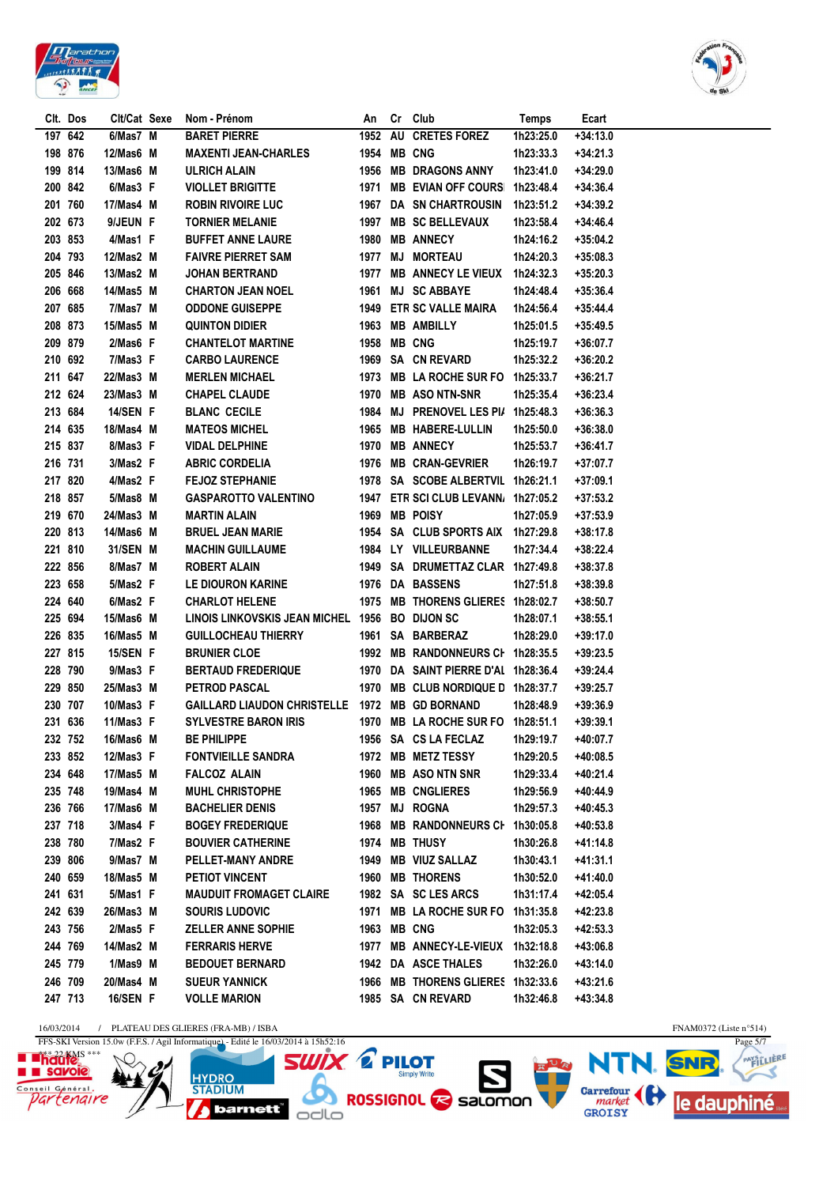



|         | Clt. Dos | Clt/Cat Sexe    | Nom - Prénom                                   | An   | Cr | Club                                | Temps     | Ecart      |
|---------|----------|-----------------|------------------------------------------------|------|----|-------------------------------------|-----------|------------|
|         | 197 642  | 6/Mas7 M        | <b>BARET PIERRE</b>                            | 1952 | AU | <b>CRETES FOREZ</b>                 | 1h23:25.0 | $+34:13.0$ |
|         | 198 876  | 12/Mas6 M       | <b>MAXENTI JEAN-CHARLES</b>                    | 1954 |    | <b>MB CNG</b>                       | 1h23:33.3 | $+34:21.3$ |
|         | 199 814  | 13/Mas6 M       | <b>ULRICH ALAIN</b>                            | 1956 |    | <b>MB DRAGONS ANNY</b>              | 1h23:41.0 | $+34:29.0$ |
|         | 200 842  | 6/Mas3 F        | <b>VIOLLET BRIGITTE</b>                        | 1971 |    | MB EVIAN OFF COURS 1h23:48.4        |           | $+34:36.4$ |
|         | 201 760  | 17/Mas4 M       | <b>ROBIN RIVOIRE LUC</b>                       | 1967 |    | DA SN CHARTROUSIN                   | 1h23:51.2 | $+34:39.2$ |
|         | 202 673  | 9/JEUN F        | <b>TORNIER MELANIE</b>                         | 1997 |    | <b>MB SC BELLEVAUX</b>              | 1h23:58.4 | $+34:46.4$ |
|         | 203 853  | 4/Mas1 F        | <b>BUFFET ANNE LAURE</b>                       | 1980 |    | <b>MB ANNECY</b>                    | 1h24:16.2 | +35:04.2   |
|         | 204 793  | 12/Mas2 M       | <b>FAIVRE PIERRET SAM</b>                      |      |    | 1977 MJ MORTEAU                     | 1h24:20.3 | $+35:08.3$ |
| 205 846 |          | 13/Mas2 M       | <b>JOHAN BERTRAND</b>                          | 1977 |    | <b>MB ANNECY LE VIEUX</b>           | 1h24:32.3 | $+35:20.3$ |
| 206 668 |          | 14/Mas5 M       | <b>CHARTON JEAN NOEL</b>                       | 1961 |    | <b>MJ SC ABBAYE</b>                 | 1h24:48.4 | $+35:36.4$ |
|         | 207 685  | 7/Mas7 M        | <b>ODDONE GUISEPPE</b>                         | 1949 |    | <b>ETR SC VALLE MAIRA</b>           | 1h24:56.4 | $+35:44.4$ |
|         | 208 873  | 15/Mas5 M       | <b>QUINTON DIDIER</b>                          | 1963 |    | <b>MB AMBILLY</b>                   | 1h25:01.5 | $+35:49.5$ |
|         | 209 879  | $2/Mas6$ F      | <b>CHANTELOT MARTINE</b>                       | 1958 |    | <b>MB CNG</b>                       | 1h25:19.7 | $+36:07.7$ |
|         | 210 692  | 7/Mas3 F        | <b>CARBO LAURENCE</b>                          | 1969 |    | <b>SA CN REVARD</b>                 | 1h25:32.2 | $+36:20.2$ |
|         | 211 647  | 22/Mas3 M       | <b>MERLEN MICHAEL</b>                          | 1973 |    | <b>MB LA ROCHE SUR FO</b>           | 1h25:33.7 | +36:21.7   |
|         | 212 624  | 23/Mas3 M       | <b>CHAPEL CLAUDE</b>                           | 1970 |    | <b>MB ASO NTN-SNR</b>               | 1h25:35.4 | $+36:23.4$ |
|         | 213 684  | 14/SEN F        | <b>BLANC CECILE</b>                            | 1984 |    | MJ PRENOVEL LES PI/ 1h25:48.3       |           | $+36:36.3$ |
|         | 214 635  | 18/Mas4 M       | <b>MATEOS MICHEL</b>                           | 1965 |    | <b>MB HABERE-LULLIN</b>             | 1h25:50.0 | $+36:38.0$ |
|         | 215 837  | 8/Mas3 F        | <b>VIDAL DELPHINE</b>                          | 1970 |    | <b>MB ANNECY</b>                    | 1h25:53.7 | +36:41.7   |
|         | 216 731  | 3/Mas2 F        | <b>ABRIC CORDELIA</b>                          | 1976 |    | <b>MB CRAN-GEVRIER</b>              | 1h26:19.7 | +37:07.7   |
|         | 217 820  | 4/Mas2 F        | <b>FEJOZ STEPHANIE</b>                         | 1978 |    | SA SCOBE ALBERTVIL 1h26:21.1        |           | $+37:09.1$ |
|         | 218 857  | 5/Mas8 M        | <b>GASPAROTTO VALENTINO</b>                    | 1947 |    | ETR SCI CLUB LEVANN, 1h27:05.2      |           | $+37:53.2$ |
| 219 670 |          | 24/Mas3 M       | <b>MARTIN ALAIN</b>                            | 1969 |    | <b>MB POISY</b>                     | 1h27:05.9 | $+37:53.9$ |
|         | 220 813  | 14/Mas6 M       | <b>BRUEL JEAN MARIE</b>                        | 1954 |    | SA CLUB SPORTS AIX 1h27:29.8        |           | $+38:17.8$ |
|         | 221 810  | 31/SEN M        | <b>MACHIN GUILLAUME</b>                        |      |    | 1984 LY VILLEURBANNE                | 1h27:34.4 | $+38:22.4$ |
|         | 222 856  | 8/Mas7 M        | <b>ROBERT ALAIN</b>                            |      |    | 1949 SA DRUMETTAZ CLAR 1h27:49.8    |           | $+38:37.8$ |
|         | 223 658  | 5/Mas2 F        | LE DIOURON KARINE                              | 1976 |    | <b>DA BASSENS</b>                   | 1h27:51.8 | $+38:39.8$ |
|         | 224 640  | 6/Mas2 F        | <b>CHARLOT HELENE</b>                          |      |    | 1975 MB THORENS GLIERES 1h28:02.7   |           | $+38:50.7$ |
|         | 225 694  | 15/Mas6 M       | LINOIS LINKOVSKIS JEAN MICHEL 1956 BO DIJON SC |      |    |                                     | 1h28:07.1 | $+38:55.1$ |
|         | 226 835  | 16/Mas5 M       | <b>GUILLOCHEAU THIERRY</b>                     |      |    | 1961 SA BARBERAZ                    | 1h28:29.0 | +39:17.0   |
|         | 227 815  | 15/SEN F        | <b>BRUNIER CLOE</b>                            |      |    | 1992 MB RANDONNEURS CI 1h28:35.5    |           | $+39:23.5$ |
|         | 228 790  | 9/Mas3 F        | <b>BERTAUD FREDERIQUE</b>                      |      |    | 1970 DA SAINT PIERRE D'AI 1h28:36.4 |           | $+39:24.4$ |
|         | 229 850  | 25/Mas3 M       | <b>PETROD PASCAL</b>                           |      |    | 1970 MB CLUB NORDIQUE D 1h28:37.7   |           | +39:25.7   |
| 230 707 |          | $10/M$ as $3$ F | GAILLARD LIAUDON CHRISTELLE 1972 MB GD BORNAND |      |    |                                     | 1h28:48.9 | $+39:36.9$ |
|         | 231 636  | 11/Mas $3$ F    | <b>SYLVESTRE BARON IRIS</b>                    | 1970 |    | <b>MB LA ROCHE SUR FO</b>           | 1h28:51.1 | $+39:39.1$ |
| 232 752 |          | 16/Mas6 M       | <b>BE PHILIPPE</b>                             |      |    | 1956 SA CS LA FECLAZ                | 1h29:19.7 | +40:07.7   |
|         | 233 852  | 12/Mas3 F       | <b>FONTVIEILLE SANDRA</b>                      |      |    | 1972 MB METZ TESSY                  | 1h29:20.5 | $+40:08.5$ |
|         | 234 648  | 17/Mas5 M       | <b>FALCOZ ALAIN</b>                            | 1960 |    | <b>MB ASO NTN SNR</b>               | 1h29:33.4 | +40:21.4   |
|         | 235 748  | 19/Mas4 M       | <b>MUHL CHRISTOPHE</b>                         |      |    | 1965 MB CNGLIERES                   | 1h29:56.9 | +40:44.9   |
|         | 236 766  | 17/Mas6 M       | <b>BACHELIER DENIS</b>                         | 1957 |    | <b>MJ ROGNA</b>                     | 1h29:57.3 | $+40:45.3$ |
|         | 237 718  | 3/Mas4 F        | <b>BOGEY FREDERIQUE</b>                        | 1968 |    | MB RANDONNEURS CI 1h30:05.8         |           | $+40:53.8$ |
|         | 238 780  | 7/Mas2 F        | <b>BOUVIER CATHERINE</b>                       | 1974 |    | <b>MB THUSY</b>                     | 1h30:26.8 | +41:14.8   |
|         | 239 806  | 9/Mas7 M        | PELLET-MANY ANDRE                              | 1949 |    | <b>MB VIUZ SALLAZ</b>               | 1h30:43.1 | +41:31.1   |
|         | 240 659  | 18/Mas5 M       | PETIOT VINCENT                                 | 1960 |    | <b>MB THORENS</b>                   | 1h30:52.0 | +41:40.0   |
|         | 241 631  | 5/Mas1 F        | <b>MAUDUIT FROMAGET CLAIRE</b>                 |      |    | 1982 SA SC LES ARCS                 | 1h31:17.4 | +42:05.4   |
|         | 242 639  | 26/Mas3 M       | <b>SOURIS LUDOVIC</b>                          | 1971 |    | MB LA ROCHE SUR FO 1h31:35.8        |           | +42:23.8   |
|         | 243 756  | $2/Mas5$ F      | <b>ZELLER ANNE SOPHIE</b>                      | 1963 |    | <b>MB CNG</b>                       | 1h32:05.3 | +42:53.3   |
|         | 244 769  | 14/Mas2 M       | <b>FERRARIS HERVE</b>                          | 1977 |    | MB ANNECY-LE-VIEUX 1h32:18.8        |           | $+43:06.8$ |
|         | 245 779  | 1/Mas9 M        | <b>BEDOUET BERNARD</b>                         |      |    | 1942 DA ASCE THALES                 | 1h32:26.0 | +43:14.0   |
|         | 246 709  | 20/Mas4 M       | <b>SUEUR YANNICK</b>                           |      |    | 1966 MB THORENS GLIERES 1h32:33.6   |           | +43:21.6   |
|         | 247 713  | 16/SEN F        | <b>VOLLE MARION</b>                            |      |    | 1985 SA CN REVARD                   | 1h32:46.8 | +43:34.8   |
|         |          |                 |                                                |      |    |                                     |           |            |

 $\frac{16/03/2014 \quad / \quad \text{PLATEAU DES GLIERES (FRA-MB) / ISBA}}{\text{FFS-SKI Version 15.0w (F.F.S. / Agil Information)} - \text{Edit} \text{ le } 16/03/2014 \text{ à } 15\text{h}52:16}$ 

**HYDRO**<br>STADIUM

 $N/2$ 



**SWIX & PILOT WIX. E PILOT<br>A ROSSIGNOL & Salomon** barnett<sup>"</sup> odlo

FNAM0372 (Liste n°514)<br>Page 5/7 **NTI** HUR **SNR** le dauphiné

PAYSCLIERE

3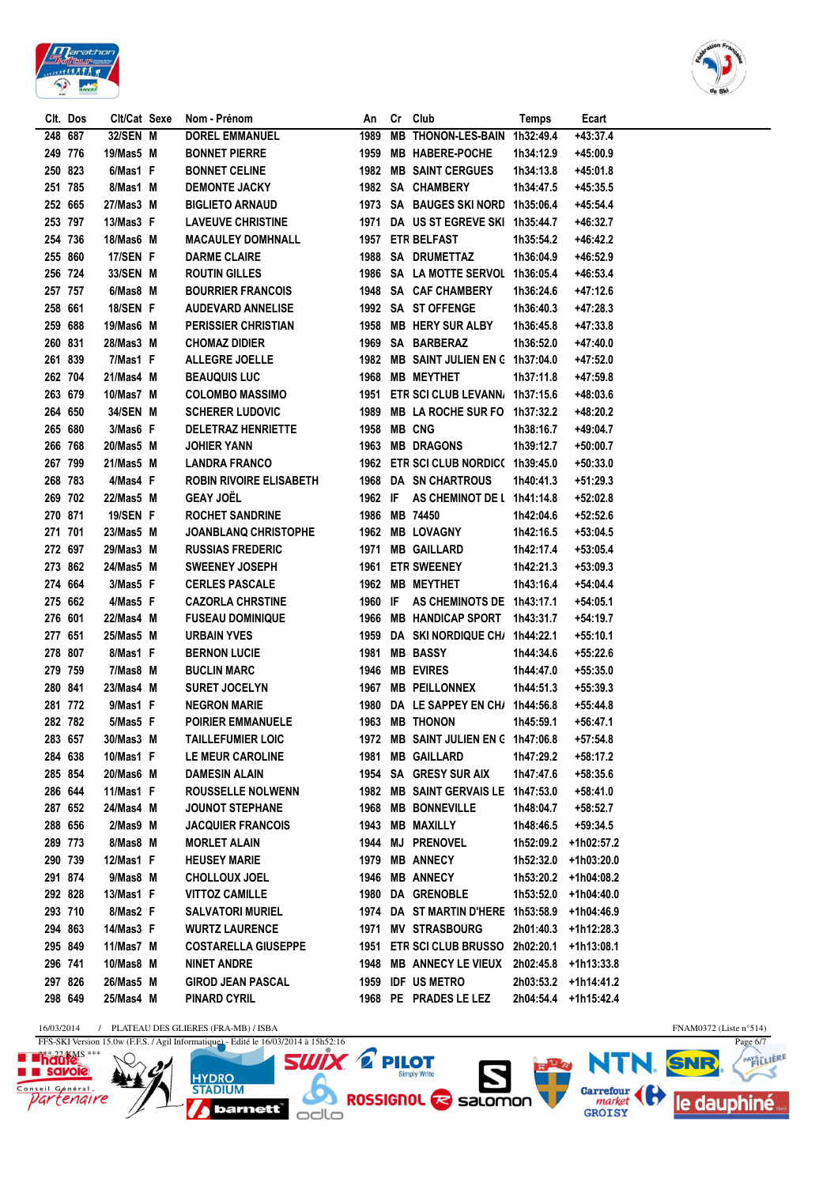



|         | Clt. Dos | Clt/Cat Sexe | Nom - Prénom                   | An      | Cr Club                                  | Temps     | Ecart                |
|---------|----------|--------------|--------------------------------|---------|------------------------------------------|-----------|----------------------|
|         | 248 687  | 32/SEN M     | <b>DOREL EMMANUEL</b>          | 1989    | <b>MB THONON-LES-BAIN</b>                | 1h32:49.4 | $+43:37.4$           |
|         | 249 776  | 19/Mas5 M    | <b>BONNET PIERRE</b>           | 1959    | MB HABERE-POCHE                          | 1h34:12.9 | +45:00.9             |
| 250 823 |          | 6/Mas1 F     | <b>BONNET CELINE</b>           | 1982    | <b>MB SAINT CERGUES</b>                  | 1h34:13.8 | +45:01.8             |
|         | 251 785  | 8/Mas1 M     | <b>DEMONTE JACKY</b>           |         | 1982 SA CHAMBERY                         | 1h34:47.5 | +45:35.5             |
|         | 252 665  | 27/Mas3 M    | <b>BIGLIETO ARNAUD</b>         |         | 1973 SA BAUGES SKI NORD                  | 1h35:06.4 | +45:54.4             |
|         | 253 797  | 13/Mas3 F    | <b>LAVEUVE CHRISTINE</b>       | 1971    | DA US ST EGREVE SKI 1h35:44.7            |           | +46:32.7             |
|         | 254 736  | 18/Mas6 M    | <b>MACAULEY DOMHNALL</b>       |         | 1957 ETR BELFAST                         | 1h35:54.2 | $+46:42.2$           |
|         | 255 860  | 17/SEN F     | <b>DARME CLAIRE</b>            |         | 1988 SA DRUMETTAZ                        | 1h36:04.9 | +46:52.9             |
|         | 256 724  | 33/SEN M     | <b>ROUTIN GILLES</b>           |         | 1986 SA LA MOTTE SERVOL 1h36:05.4        |           | $+46:53.4$           |
|         | 257 757  | 6/Mas8 M     | <b>BOURRIER FRANCOIS</b>       |         | 1948 SA CAF CHAMBERY                     | 1h36:24.6 | $+47:12.6$           |
|         | 258 661  | 18/SEN F     | <b>AUDEVARD ANNELISE</b>       |         | 1992 SA ST OFFENGE                       | 1h36:40.3 | $+47:28.3$           |
| 259 688 |          | 19/Mas6 M    | <b>PERISSIER CHRISTIAN</b>     |         | 1958 MB HERY SUR ALBY                    | 1h36:45.8 | $+47:33.8$           |
| 260 831 |          | 28/Mas3 M    | <b>CHOMAZ DIDIER</b>           |         | 1969 SA BARBERAZ                         | 1h36:52.0 | +47:40.0             |
|         | 261 839  | 7/Mas1 F     | <b>ALLEGRE JOELLE</b>          |         | 1982 MB SAINT JULIEN EN C 1h37:04.0      |           | +47:52.0             |
|         | 262 704  | 21/Mas4 M    | <b>BEAUQUIS LUC</b>            | 1968    | <b>MB MEYTHET</b>                        | 1h37:11.8 | +47:59.8             |
| 263 679 |          | 10/Mas7 M    | <b>COLOMBO MASSIMO</b>         | 1951    | <b>ETR SCI CLUB LEVANN</b>               | 1h37:15.6 | +48:03.6             |
|         | 264 650  | 34/SEN M     | <b>SCHERER LUDOVIC</b>         | 1989    | MB LA ROCHE SUR FO 1h37:32.2             |           | +48:20.2             |
|         | 265 680  | 3/Mas6 F     | <b>DELETRAZ HENRIETTE</b>      | 1958    | <b>MB CNG</b>                            | 1h38:16.7 | $+49:04.7$           |
| 266 768 |          | 20/Mas5 M    | JOHIER YANN                    | 1963    | <b>MB DRAGONS</b>                        | 1h39:12.7 | $+50:00.7$           |
| 267 799 |          | 21/Mas5 M    | <b>LANDRA FRANCO</b>           |         | 1962 ETR SCI CLUB NORDIC( 1h39:45.0      |           | $+50:33.0$           |
|         | 268 783  | 4/Mas4 F     | <b>ROBIN RIVOIRE ELISABETH</b> |         | 1968 DA SN CHARTROUS                     | 1h40:41.3 | $+51:29.3$           |
|         | 269 702  | 22/Mas5 M    | <b>GEAY JOËL</b>               | 1962 IF | AS CHEMINOT DE L 1h41:14.8               |           | $+52:02.8$           |
| 270 871 |          | 19/SEN F     | <b>ROCHET SANDRINE</b>         |         | 1986 MB 74450                            | 1h42:04.6 | $+52:52.6$           |
| 271 701 |          | 23/Mas5 M    | JOANBLANQ CHRISTOPHE           | 1962    | <b>MB LOVAGNY</b>                        | 1h42:16.5 | $+53:04.5$           |
|         | 272 697  | 29/Mas3 M    | <b>RUSSIAS FREDERIC</b>        | 1971    | <b>MB GAILLARD</b>                       | 1h42:17.4 | $+53:05.4$           |
| 273 862 |          | 24/Mas5 M    | <b>SWEENEY JOSEPH</b>          | 1961    | <b>ETR SWEENEY</b>                       | 1h42:21.3 | $+53:09.3$           |
| 274 664 |          | 3/Mas5 F     | <b>CERLES PASCALE</b>          | 1962    | <b>MB MEYTHET</b>                        | 1h43:16.4 | $+54:04.4$           |
|         | 275 662  | 4/Mas5 F     | <b>CAZORLA CHRSTINE</b>        | 1960 IF | AS CHEMINOTS DE 1h43:17.1                |           | $+54:05.1$           |
| 276 601 |          | 22/Mas4 M    | <b>FUSEAU DOMINIQUE</b>        |         | 1966 MB HANDICAP SPORT                   | 1h43:31.7 | $+54:19.7$           |
| 277 651 |          | 25/Mas5 M    | <b>URBAIN YVES</b>             | 1959    | DA SKI NORDIQUE CH/ 1h44:22.1            |           | $+55:10.1$           |
|         | 278 807  | 8/Mas1 F     | <b>BERNON LUCIE</b>            | 1981    | <b>MB BASSY</b>                          | 1h44:34.6 | $+55:22.6$           |
| 279 759 |          | 7/Mas8 M     | <b>BUCLIN MARC</b>             | 1946    | <b>MB EVIRES</b>                         | 1h44:47.0 | $+55:35.0$           |
| 280 841 |          | 23/Mas4 M    | <b>SURET JOCELYN</b>           |         | 1967 MB PEILLONNEX                       | 1h44:51.3 | $+55:39.3$           |
|         | 281 772  | 9/Mas1 F     | <b>NEGRON MARIE</b>            |         | 1980 DA LE SAPPEY EN CH/ 1h44:56.8       |           | $+55:44.8$           |
|         | 282 782  | 5/Mas5 F     | <b>POIRIER EMMANUELE</b>       |         | 1963 MB THONON                           | 1h45:59.1 | $+56:47.1$           |
|         | 283 657  | 30/Mas3 M    | <b>TAILLEFUMIER LOIC</b>       |         | 1972 MB SAINT JULIEN EN C 1h47:06.8      |           | $+57:54.8$           |
|         | 284 638  | 10/Mas1 F    | LE MEUR CAROLINE               |         | 1981 MB GAILLARD                         | 1h47:29.2 | $+58:17.2$           |
|         | 285 854  | 20/Mas6 M    | <b>DAMESIN ALAIN</b>           |         | 1954 SA GRESY SUR AIX                    | 1h47:47.6 | $+58:35.6$           |
|         | 286 644  | 11/Mas1 F    | <b>ROUSSELLE NOLWENN</b>       |         | 1982 MB SAINT GERVAIS LE 1h47:53.0       |           | +58:41.0             |
|         | 287 652  | 24/Mas4 M    | <b>JOUNOT STEPHANE</b>         | 1968    | <b>MB BONNEVILLE</b>                     | 1h48:04.7 | +58:52.7             |
|         | 288 656  | 2/Mas9 M     | <b>JACQUIER FRANCOIS</b>       | 1943    | <b>MB MAXILLY</b>                        | 1h48:46.5 | $+59:34.5$           |
|         | 289 773  | 8/Mas8 M     | <b>MORLET ALAIN</b>            | 1944    | <b>MJ PRENOVEL</b>                       | 1h52:09.2 | +1h02:57.2           |
|         | 290 739  | 12/Mas1 F    | <b>HEUSEY MARIE</b>            | 1979    | <b>MB ANNECY</b>                         | 1h52:32.0 | +1h03:20.0           |
|         | 291 874  | 9/Mas8 M     | <b>CHOLLOUX JOEL</b>           | 1946    | <b>MB ANNECY</b>                         |           | 1h53:20.2 +1h04:08.2 |
|         | 292 828  | 13/Mas1 F    | <b>VITTOZ CAMILLE</b>          | 1980    | DA GRENOBLE                              |           | 1h53:52.0 +1h04:40.0 |
|         | 293 710  | 8/Mas2 F     | <b>SALVATORI MURIEL</b>        |         | 1974 DA ST MARTIN D'HERE 1h53:58.9       |           | +1h04:46.9           |
|         | 294 863  | 14/Mas3 F    | <b>WURTZ LAURENCE</b>          | 1971    | <b>MV STRASBOURG</b>                     |           | 2h01:40.3 +1h12:28.3 |
|         | 295 849  | 11/Mas7 M    | <b>COSTARELLA GIUSEPPE</b>     | 1951    | ETR SCI CLUB BRUSSO 2h02:20.1 +1h13:08.1 |           |                      |
|         | 296 741  | 10/Mas8 M    | <b>NINET ANDRE</b>             | 1948    | <b>MB ANNECY LE VIEUX</b>                |           | 2h02:45.8 +1h13:33.8 |
|         | 297 826  | 26/Mas5 M    | <b>GIROD JEAN PASCAL</b>       | 1959    | <b>IDF US METRO</b>                      |           | 2h03:53.2 +1h14:41.2 |
|         | 298 649  | 25/Mas4 M    | <b>PINARD CYRIL</b>            |         | 1968 PE PRADES LE LEZ                    |           | 2h04:54.4 +1h15:42.4 |
|         |          |              |                                |         |                                          |           |                      |

 $\frac{16/03/2014 \quad / \quad \text{PLATEAU DES GLIERES (FRA-MB) / ISBA}}{\text{FFS-SKI Version 15.0w (F.F.S. / Agil Information)} - \text{Edit} \text{ le } 16/03/2014 \text{ à } 15\text{h}52:16}$ 

22'